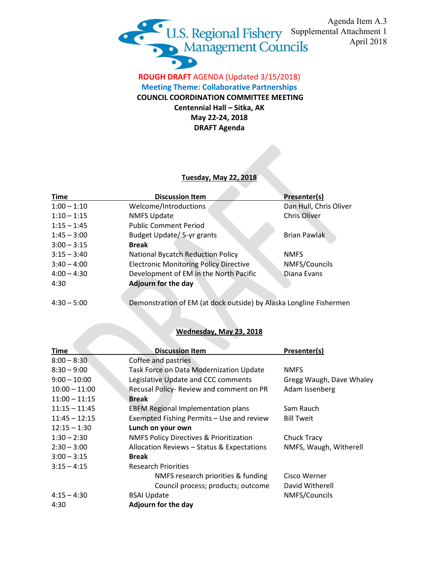

## **ROUGH DRAFT** AGENDA (Updated 3/15/2018) **Meeting Theme: Collaborative Partnerships COUNCIL COORDINATION COMMITTEE MEETING Centennial Hall – Sitka, AK May 22-24, 2018 DRAFT Agenda**

## **Tuesday, May 22, 2018**

| <b>Time</b>   | <b>Discussion Item</b>                                             | Presenter(s)           |
|---------------|--------------------------------------------------------------------|------------------------|
| $1:00 - 1:10$ | Welcome/Introductions                                              | Dan Hull, Chris Oliver |
| $1:10 - 1:15$ | <b>NMFS Update</b>                                                 | Chris Oliver           |
| $1:15 - 1:45$ | <b>Public Comment Period</b>                                       |                        |
| $1:45 - 3:00$ | Budget Update/ 5-yr grants                                         | <b>Brian Pawlak</b>    |
| $3:00 - 3:15$ | <b>Break</b>                                                       |                        |
| $3:15 - 3:40$ | <b>National Bycatch Reduction Policy</b>                           | <b>NMFS</b>            |
| $3:40 - 4:00$ | <b>Electronic Monitoring Policy Directive</b>                      | NMFS/Councils          |
| $4:00 - 4:30$ | Development of EM in the North Pacific                             | Diana Evans            |
| 4:30          | <b>Adjourn for the day</b>                                         |                        |
|               |                                                                    |                        |
| $4:30 - 5:00$ | Demonstration of EM (at dock outside) by Alaska Longline Fishermen |                        |

## **Wednesday, May 23, 2018**

| Time            | <b>Discussion Item</b>                             | Presenter(s)             |
|-----------------|----------------------------------------------------|--------------------------|
| $8:00 - 8:30$   | Coffee and pastries                                |                          |
| $8:30 - 9:00$   | Task Force on Data Modernization Update            | <b>NMFS</b>              |
| $9:00 - 10:00$  | Legislative Update and CCC comments                | Gregg Waugh, Dave Whaley |
| $10:00 - 11:00$ | Recusal Policy- Review and comment on PR           | Adam Issenberg           |
| $11:00 - 11:15$ | <b>Break</b>                                       |                          |
| $11:15 - 11:45$ | <b>EBFM Regional Implementation plans</b>          | Sam Rauch                |
| $11:45 - 12:15$ | Exempted Fishing Permits - Use and review          | <b>Bill Tweit</b>        |
| $12:15 - 1:30$  | Lunch on your own                                  |                          |
| $1:30 - 2:30$   | <b>NMFS Policy Directives &amp; Prioritization</b> | Chuck Tracy              |
| $2:30 - 3:00$   | Allocation Reviews - Status & Expectations         | NMFS, Waugh, Witherell   |
| $3:00 - 3:15$   | <b>Break</b>                                       |                          |
| $3:15 - 4:15$   | <b>Research Priorities</b>                         |                          |
|                 | NMFS research priorities & funding                 | Cisco Werner             |
|                 | Council process; products; outcome                 | David Witherell          |
| $4:15 - 4:30$   | <b>BSAI Update</b>                                 | NMFS/Councils            |
| 4:30            | Adjourn for the day                                |                          |